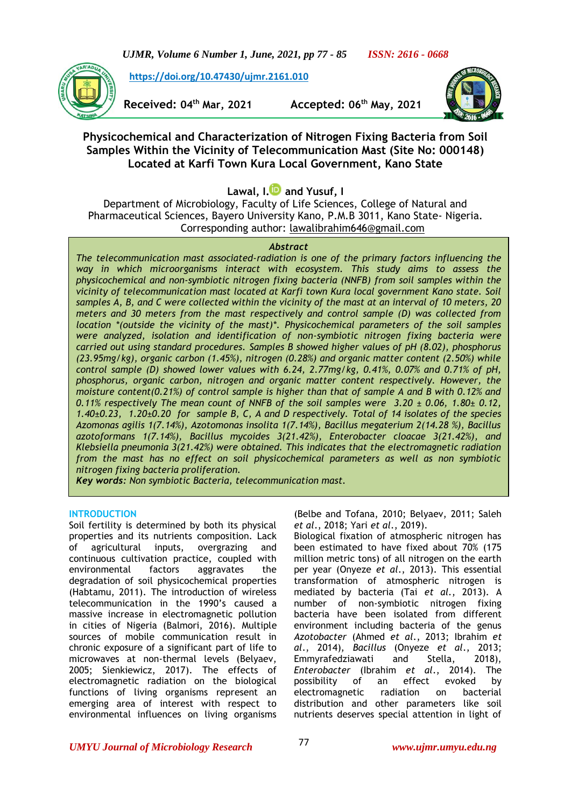*UJMR, Volume 6 Number 1, June, 2021, pp 77 - 85 ISSN: 2616 - 0668*

**[https://doi.org/10.47430/ujmr.2161.010](https://doi.org/10.47430/ujmr.2052.001)**

**Received: 04th Mar, 2021 Accepted: 06th May, 2021**



# **Physicochemical and Characterization of Nitrogen Fixing Bacteria from Soil Samples Within the Vicinity of Telecommunication Mast (Site No: 000148) Located at Karfi Town Kura Local Government, Kano State**

**Lawal, I[.](https://orcid.org/0000-0002-9576-1931) and Yusuf, I**

Department of Microbiology, Faculty of Life Sciences, College of Natural and Pharmaceutical Sciences, Bayero University Kano, P.M.B 3011, Kano State- Nigeria. Corresponding author: [lawalibrahim646@gmail.com](mailto:lawalibrahim646@gmail.com)

### *Abstract*

*The telecommunication mast associated-radiation is one of the primary factors influencing the way in which microorganisms interact with ecosystem. This study aims to assess the physicochemical and non-symbiotic nitrogen fixing bacteria (NNFB) from soil samples within the vicinity of telecommunication mast located at Karfi town Kura local government Kano state. Soil samples A, B, and C were collected within the vicinity of the mast at an interval of 10 meters, 20 meters and 30 meters from the mast respectively and control sample (D) was collected from location \*(outside the vicinity of the mast)\*. Physicochemical parameters of the soil samples were analyzed, isolation and identification of non-symbiotic nitrogen fixing bacteria were carried out using standard procedures. Samples B showed higher values of pH (8.02), phosphorus (23.95mg/kg), organic carbon (1.45%), nitrogen (0.28%) and organic matter content (2.50%) while control sample (D) showed lower values with 6.24, 2.77mg/kg, 0.41%, 0.07% and 0.71% of pH, phosphorus, organic carbon, nitrogen and organic matter content respectively. However, the moisture content(0.21%) of control sample is higher than that of sample A and B with 0.12% and 0.11% respectively The mean count of NNFB of the soil samples were 3.20 ± 0.06, 1.80± 0.12, 1.40±0.23, 1.20±0.20 for sample B, C, A and D respectively. Total of 14 isolates of the species Azomonas agilis 1(7.14%), Azotomonas insolita 1(7.14%), Bacillus megaterium 2(14.28 %), Bacillus azotoformans 1(7.14%), Bacillus mycoides 3(21.42%), Enterobacter cloacae 3(21.42%), and Klebsiella pneumonia 3(21.42%) were obtained. This indicates that the electromagnetic radiation from the mast has no effect on soil physicochemical parameters as well as non symbiotic nitrogen fixing bacteria proliferation.*

*Key words: Non symbiotic Bacteria, telecommunication mast.*

## **INTRODUCTION**

Soil fertility is determined by both its physical properties and its nutrients composition. Lack of agricultural inputs, overgrazing and continuous cultivation practice, coupled with environmental factors aggravates the degradation of soil physicochemical properties (Habtamu, 2011). The introduction of wireless telecommunication in the 1990's caused a massive increase in electromagnetic pollution in cities of Nigeria (Balmori, 2016). Multiple sources of mobile communication result in chronic exposure of a significant part of life to microwaves at non-thermal levels (Belyaev, 2005; Sienkiewicz, 2017). The effects of electromagnetic radiation on the biological functions of living organisms represent an emerging area of interest with respect to environmental influences on living organisms

(Belbe and Tofana, 2010; Belyaev, 2011; Saleh *et al*., 2018; Yari *et al*., 2019).

Biological fixation of atmospheric nitrogen has been estimated to have fixed about 70% (175 million metric tons) of all nitrogen on the earth per year (Onyeze *et al*., 2013). This essential transformation of atmospheric nitrogen is mediated by bacteria (Tai *et al.*, 2013). A number of non-symbiotic nitrogen fixing bacteria have been isolated from different environment including bacteria of the genus *Azotobacter* (Ahmed *et al*., 2013; Ibrahim *et al*., 2014), *Bacillus* (Onyeze *et al*., 2013; Emmyrafedziawati and Stella, 2018), *Enterobacter* (Ibrahim *et al*., 2014). The possibility of an effect evoked by electromagnetic radiation on bacterial distribution and other parameters like soil nutrients deserves special attention in light of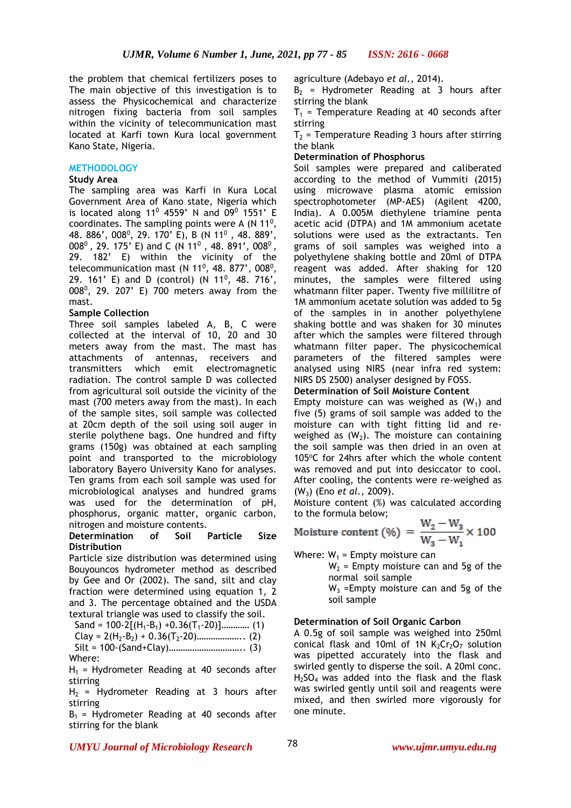the problem that chemical fertilizers poses to agriculture (Adebayo *et al.*, 2014). The main objective of this investigation is to assess the Physicochemical and characterize nitrogen fixing bacteria from soil samples within the vicinity of telecommunication mast located at Karfi town Kura local government Kano State, Nigeria.

### **METHODOLOGY**

#### **Study Area**

The sampling area was Karfi in Kura Local Government Area of Kano state, Nigeria which is located along 11<sup>0</sup> 4559' N and 09<sup>0</sup> 1551' E coordinates. The sampling points were A (N  $11^0$ , 48. 886', 008<sup>0</sup>, 29. 170' E), B (N 11<sup>0</sup>, 48. 889', 008<sup>0</sup>, 29. 175' E) and C (N 11<sup>0</sup>, 48. 891', 008<sup>0</sup>, 29. 182' E) within the vicinity of the telecommunication mast (N 11<sup>0</sup>, 48. 877', 008<sup>0</sup>, 29. 161' E) and D (control) (N 11<sup>0</sup>, 48. 716', 008 $^0$ , 29. 207' E) 700 meters away from the mast.

### **Sample Collection**

Three soil samples labeled A, B, C were collected at the interval of 10, 20 and 30 meters away from the mast. The mast has attachments of antennas, receivers and transmitters which emit electromagnetic radiation. The control sample D was collected from agricultural soil outside the vicinity of the mast (700 meters away from the mast). In each of the sample sites, soil sample was collected at 20cm depth of the soil using soil auger in sterile polythene bags. One hundred and fifty grams (150g) was obtained at each sampling point and transported to the microbiology laboratory Bayero University Kano for analyses. Ten grams from each soil sample was used for microbiological analyses and hundred grams was used for the determination of pH, phosphorus, organic matter, organic carbon, nitrogen and moisture contents.

## **Determination of Soil Particle Size Distribution**

Particle size distribution was determined using Bouyouncos hydrometer method as described by Gee and Or (2002). The sand, silt and clay fraction were determined using equation 1, 2 and 3. The percentage obtained and the USDA textural triangle was used to classify the soil.

Sand =  $100-2[(H_1-B_1) +0.36(T_1-20)]$ ............. (1) Clay = 2(H2-B2) + 0.36(T2-20)……………….. (2) Silt = 100-(Sand+Clay)………………………….. (3) Where:

 $H_1$  = Hydrometer Reading at 40 seconds after stirring

 $H<sub>2</sub>$  = Hydrometer Reading at 3 hours after stirring

 $B_1$  = Hydrometer Reading at 40 seconds after stirring for the blank

 $B_2$  = Hydrometer Reading at 3 hours after stirring the blank

 $T_1$  = Temperature Reading at 40 seconds after stirring

 $T<sub>2</sub>$  = Temperature Reading 3 hours after stirring the blank

## **Determination of Phosphorus**

Soil samples were prepared and caliberated according to the method of Vummiti (2015) using microwave plasma atomic emission spectrophotometer (MP-AES) (Agilent 4200, India). A 0.005M diethylene triamine penta acetic acid (DTPA) and 1M ammonium acetate solutions were used as the extractants. Ten grams of soil samples was weighed into a polyethylene shaking bottle and 20ml of DTPA reagent was added. After shaking for 120 minutes, the samples were filtered using whatmann filter paper. Twenty five millilitre of 1M ammonium acetate solution was added to 5g of the samples in in another polyethylene shaking bottle and was shaken for 30 minutes after which the samples were filtered through whatmann filter paper. The physicochemical parameters of the filtered samples were analysed using NIRS (near infra red system: NIRS DS 2500) analyser designed by FOSS.

## **Determination of Soil Moisture Content**

Empty moisture can was weighed as  $(W_1)$  and five (5) grams of soil sample was added to the moisture can with tight fitting lid and reweighed as  $(W_2)$ . The moisture can containing the soil sample was then dried in an oven at 105 $°C$  for 24hrs after which the whole content was removed and put into desiccator to cool. After cooling, the contents were re-weighed as (W3) (Eno *et al.,* 2009).

Moisture content (%) was calculated according to the formula below;

Moisture content (%) = 
$$
\frac{W_2 - W_3}{W_3 - W_1} \times 100
$$

Where:  $W_1$  = Empty moisture can

 $W_2$  = Empty moisture can and 5g of the normal soil sample  $W_3$  =Empty moisture can and 5g of the soil sample

### **Determination of Soil Organic Carbon**

A 0.5g of soil sample was weighed into 250ml conical flask and 10ml of 1N  $K_2Cr_2O_7$  solution was pipetted accurately into the flask and swirled gently to disperse the soil. A 20ml conc.  $H<sub>2</sub>SO<sub>4</sub>$  was added into the flask and the flask was swirled gently until soil and reagents were mixed, and then swirled more vigorously for one minute.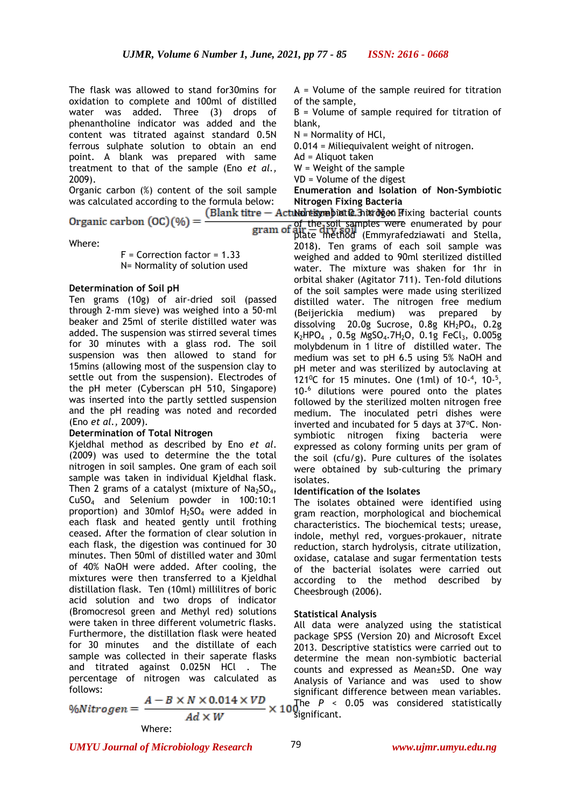The flask was allowed to stand for30mins for oxidation to complete and 100ml of distilled water was added. Three (3) drops of phenantholine indicator was added and the content was titrated against standard 0.5N ferrous sulphate solution to obtain an end point. A blank was prepared with same treatment to that of the sample (Eno *et al.,* 2009).

Organic carbon (%) content of the soil sample was calculated according to the formula below: **Nitrogen Fixing Bacteria** 

Where:

F = Correction factor = 1.33 N= Normality of solution used

### **Determination of Soil pH**

Ten grams (10g) of air-dried soil (passed through 2-mm sieve) was weighed into a 50-ml beaker and 25ml of sterile distilled water was added. The suspension was stirred several times for 30 minutes with a glass rod. The soil suspension was then allowed to stand for 15mins (allowing most of the suspension clay to settle out from the suspension). Electrodes of the pH meter (Cyberscan pH 510, Singapore) was inserted into the partly settled suspension and the pH reading was noted and recorded (Eno *et al.,* 2009).

### **Determination of Total Nitrogen**

Kjeldhal method as described by Eno *et al*. (2009) was used to determine the the total nitrogen in soil samples. One gram of each soil sample was taken in individual Kjeldhal flask. Then 2 grams of a catalyst (mixture of  $Na<sub>2</sub>SO<sub>4</sub>$ , CuSO<sup>4</sup> and Selenium powder in 100:10:1 proportion) and 30mlof  $H_2SO_4$  were added in each flask and heated gently until frothing ceased. After the formation of clear solution in each flask, the digestion was continued for 30 minutes. Then 50ml of distilled water and 30ml of 40% NaOH were added. After cooling, the mixtures were then transferred to a Kjeldhal distillation flask. Ten (10ml) millilitres of boric acid solution and two drops of indicator (Bromocresol green and Methyl red) solutions were taken in three different volumetric flasks. Furthermore, the distillation flask were heated for 30 minutes and the distillate of each sample was collected in their saperate flasks and titrated against 0.025N HCl . The percentage of nitrogen was calculated as follows:

Where:

A = Volume of the sample reuired for titration of the sample,

B = Volume of sample required for titration of blank,

N = Normality of HCl,

0.014 = Miliequivalent weight of nitrogen.

Ad = Aliquot taken

W = Weight of the sample

VD = Volume of the digest

**Enumeration and Isolation of Non-Symbiotic** 

Nontitympiotic 3 itrogen fixing bacterial counts

of the soil samples were enumerated by pour gram of of the soil samples were enumerated by pour<br>gram of plate method (Emmyrafedziawati and Stella, 2018). Ten grams of each soil sample was weighed and added to 90ml sterilized distilled water. The mixture was shaken for 1hr in orbital shaker (Agitator 711). Ten-fold dilutions of the soil samples were made using sterilized distilled water. The nitrogen free medium (Beijerickia medium) was prepared by dissolving 20.0g Sucrose, 0.8g KH<sub>2</sub>PO<sub>4</sub>, 0.2g  $K_2$ HPO<sub>4</sub>, 0.5g MgSO<sub>4</sub>.7H<sub>2</sub>O, 0.1g FeCl<sub>3</sub>, 0.005g molybdenum in 1 litre of distilled water. The medium was set to pH 6.5 using 5% NaOH and pH meter and was sterilized by autoclaving at 121<sup>o</sup>C for 15 minutes. One  $(1ml)$  of  $10^{-4}$ ,  $10^{-5}$ , 10- <sup>6</sup> dilutions were poured onto the plates followed by the sterilized molten nitrogen free medium. The inoculated petri dishes were inverted and incubated for 5 days at 37°C. Nonsymbiotic nitrogen fixing bacteria were expressed as colony forming units per gram of the soil (cfu/g). Pure cultures of the isolates were obtained by sub-culturing the primary isolates.

### **Identification of the Isolates**

The isolates obtained were identified using gram reaction, morphological and biochemical characteristics. The biochemical tests; urease, indole, methyl red, vorgues-prokauer, nitrate reduction, starch hydrolysis, citrate utilization, oxidase, catalase and sugar fermentation tests of the bacterial isolates were carried out according to the method described by Cheesbrough (2006).

### **Statistical Analysis**

All data were analyzed using the statistical package SPSS (Version 20) and Microsoft Excel 2013. Descriptive statistics were carried out to determine the mean non-symbiotic bacterial counts and expressed as Mean±SD. One way Analysis of Variance and was used to show significant difference between mean variables. The *P* < 0.05 was considered statistically significant.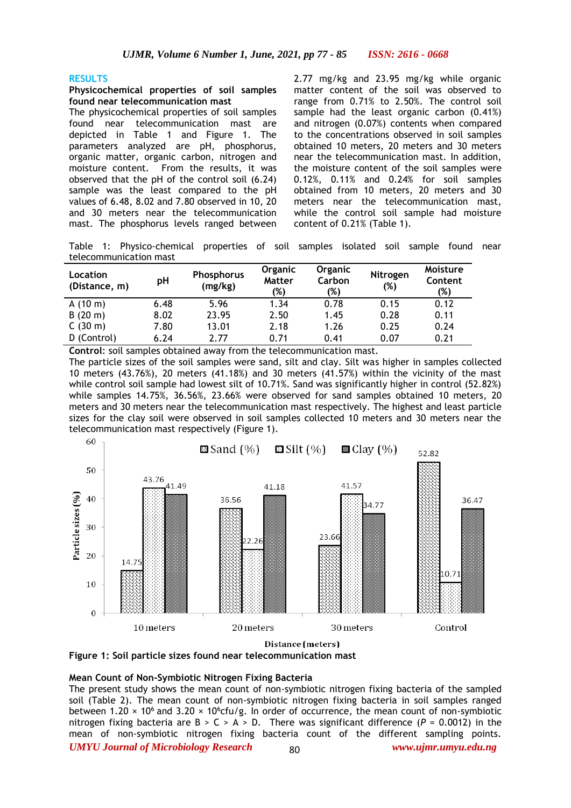#### **RESULTS**

#### **Physicochemical properties of soil samples found near telecommunication mast**

The physicochemical properties of soil samples found near telecommunication mast are depicted in Table 1 and Figure 1. The parameters analyzed are pH, phosphorus, organic matter, organic carbon, nitrogen and moisture content. From the results, it was observed that the pH of the control soil (6.24) sample was the least compared to the pH values of 6.48, 8.02 and 7.80 observed in 10, 20 and 30 meters near the telecommunication mast. The phosphorus levels ranged between 2.77 mg/kg and 23.95 mg/kg while organic matter content of the soil was observed to range from 0.71% to 2.50%. The control soil sample had the least organic carbon (0.41%) and nitrogen (0.07%) contents when compared to the concentrations observed in soil samples obtained 10 meters, 20 meters and 30 meters near the telecommunication mast. In addition, the moisture content of the soil samples were 0.12%, 0.11% and 0.24% for soil samples obtained from 10 meters, 20 meters and 30 meters near the telecommunication mast, while the control soil sample had moisture content of 0.21% (Table 1).

Table 1: Physico-chemical properties of soil samples isolated soil sample found near telecommunication mast

| Location<br>(Distance, m) | рH   | <b>Phosphorus</b><br>(mg/kg) | <b>Organic</b><br><b>Matter</b><br>(%) | Organic<br>Carbon<br>(%) | Nitrogen<br>(%) | Moisture<br>Content<br>(%) |  |
|---------------------------|------|------------------------------|----------------------------------------|--------------------------|-----------------|----------------------------|--|
| A(10 m)                   | 6.48 | 5.96                         | 1.34                                   | 0.78                     | 0.15            | 0.12                       |  |
| B(20 m)                   | 8.02 | 23.95                        | 2.50                                   | 1.45                     | 0.28            | 0.11                       |  |
| C(30 m)                   | 7.80 | 13.01                        | 2.18                                   | 1.26                     | 0.25            | 0.24                       |  |
| D (Control)               | 6.24 | 2.77                         | 0.71                                   | 0.41                     | 0.07            | 0.21                       |  |

**Control**: soil samples obtained away from the telecommunication mast.

The particle sizes of the soil samples were sand, silt and clay. Silt was higher in samples collected 10 meters (43.76%), 20 meters (41.18%) and 30 meters (41.57%) within the vicinity of the mast while control soil sample had lowest silt of 10.71%. Sand was significantly higher in control (52.82%) while samples 14.75%, 36.56%, 23.66% were observed for sand samples obtained 10 meters, 20 meters and 30 meters near the telecommunication mast respectively. The highest and least particle sizes for the clay soil were observed in soil samples collected 10 meters and 30 meters near the telecommunication mast respectively (Figure 1).



Distance (meters)



#### **Mean Count of Non-Symbiotic Nitrogen Fixing Bacteria**

*UMYU Journal of Microbiology Research www.ujmr.umyu.edu.ng* The present study shows the mean count of non-symbiotic nitrogen fixing bacteria of the sampled soil (Table 2). The mean count of non-symbiotic nitrogen fixing bacteria in soil samples ranged between 1.20  $\times$  10<sup>6</sup> and 3.20  $\times$  10<sup>6</sup>cfu/g. In order of occurrence, the mean count of non-symbiotic nitrogen fixing bacteria are  $B > C > A > D$ . There was significant difference ( $P = 0.0012$ ) in the mean of non-symbiotic nitrogen fixing bacteria count of the different sampling points.  $80$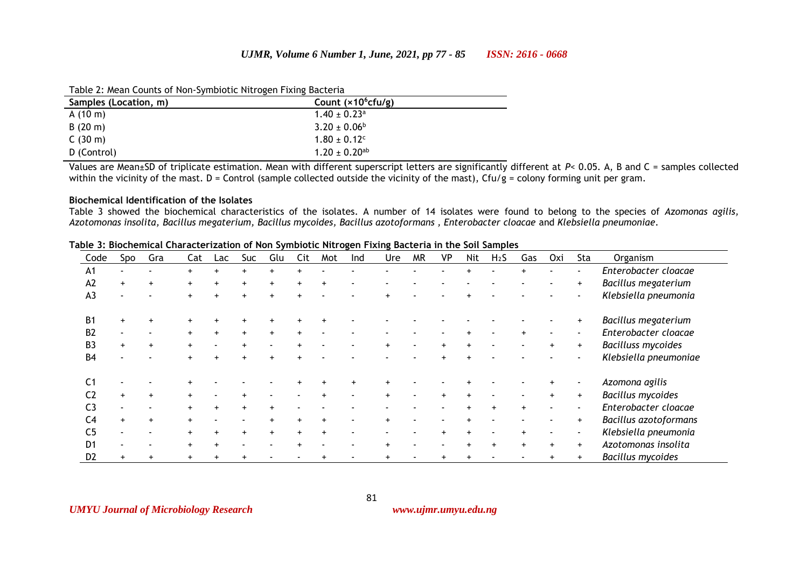Table 2: Mean Counts of Non-Symbiotic Nitrogen Fixing Bacteria

| Samples (Location, m) | Count $(x10^6$ cfu/g)         |  |
|-----------------------|-------------------------------|--|
| A(10 m)               | $1.40 \pm 0.23$ <sup>a</sup>  |  |
| B(20 m)               | $3.20 \pm 0.06^b$             |  |
| C(30 m)               | $1.80 \pm 0.12$ <sup>c</sup>  |  |
| D (Control)           | $1.20 \pm 0.20$ <sup>ab</sup> |  |

Values are Mean±SD of triplicate estimation. Mean with different superscript letters are significantly different at *P*< 0.05. A, B and C = samples collected within the vicinity of the mast. D = Control (sample collected outside the vicinity of the mast), Cfu/g = colony forming unit per gram.

### **Biochemical Identification of the Isolates**

Table 3 showed the biochemical characteristics of the isolates. A number of 14 isolates were found to belong to the species of *Azomonas agilis, Azotomonas insolita, Bacillus megaterium, Bacillus mycoides, Bacillus azotoformans , Enterobacter cloacae* and *Klebsiella pneumoniae*.

| Code           | Spo | Gra | Cat | Lac       | Suc | Glu       | Cit       | Mot       | Ind | Ure | <b>MR</b> | VP  | Nit       | H <sub>2</sub> S | Gas | Oxi | Sta       | Organism                     |
|----------------|-----|-----|-----|-----------|-----|-----------|-----------|-----------|-----|-----|-----------|-----|-----------|------------------|-----|-----|-----------|------------------------------|
| A <sub>1</sub> |     |     |     |           | $+$ |           |           |           |     |     |           |     |           |                  |     |     |           | Enterobacter cloacae         |
| A2             |     |     |     |           |     |           |           |           |     |     |           |     |           |                  |     |     | $+$       | Bacillus megaterium          |
| A <sub>3</sub> |     |     |     |           | $+$ |           |           |           |     |     |           |     |           |                  |     |     |           | Klebsiella pneumonia         |
|                |     |     |     |           |     |           |           |           |     |     |           |     |           |                  |     |     |           |                              |
| B <sub>1</sub> |     |     |     |           |     |           |           |           |     |     |           |     |           |                  |     |     |           | Bacillus megaterium          |
| B <sub>2</sub> |     |     | $+$ | $+$       | $+$ | $+$       | $\ddot{}$ |           |     |     |           |     |           |                  |     |     |           | Enterobacter cloacae         |
| B <sub>3</sub> |     |     |     |           |     |           |           |           |     |     |           | $+$ | $\ddot{}$ |                  |     |     | $+$       | <b>Bacilluss mycoides</b>    |
| B <sub>4</sub> |     |     |     |           |     |           |           |           |     |     |           |     |           |                  |     |     |           | Klebsiella pneumoniae        |
|                |     |     |     |           |     |           |           |           |     |     |           |     |           |                  |     |     |           |                              |
| C <sub>1</sub> |     |     |     |           |     |           |           |           |     |     |           |     |           |                  |     |     |           | Azomona agilis               |
| C <sub>2</sub> |     |     |     |           |     |           |           | $\ddot{}$ |     |     |           | $+$ | $+$       |                  |     |     | $+$       | <b>Bacillus mycoides</b>     |
| C <sub>3</sub> |     |     |     | $+$       | $+$ |           |           |           |     |     |           |     |           |                  | $+$ |     |           | Enterobacter cloacae         |
| C <sub>4</sub> |     |     |     |           |     |           |           |           |     |     |           |     |           |                  |     |     | $\ddot{}$ | <b>Bacillus azotoformans</b> |
| C <sub>5</sub> |     |     |     | $\ddot{}$ | $+$ | $\ddot{}$ | $+$       | $\ddot{}$ |     |     |           | $+$ | $+$       |                  | $+$ |     |           | Klebsiella pneumonia         |
| D <sub>1</sub> |     |     |     | $\ddot{}$ |     |           |           |           |     |     |           |     |           |                  | $+$ | $+$ | $+$       | Azotomonas insolita          |
| D <sub>2</sub> |     |     |     |           |     |           |           |           |     |     |           |     |           |                  |     |     |           | <b>Bacillus mycoides</b>     |

81

**Table 3: Biochemical Characterization of Non Symbiotic Nitrogen Fixing Bacteria in the Soil Samples**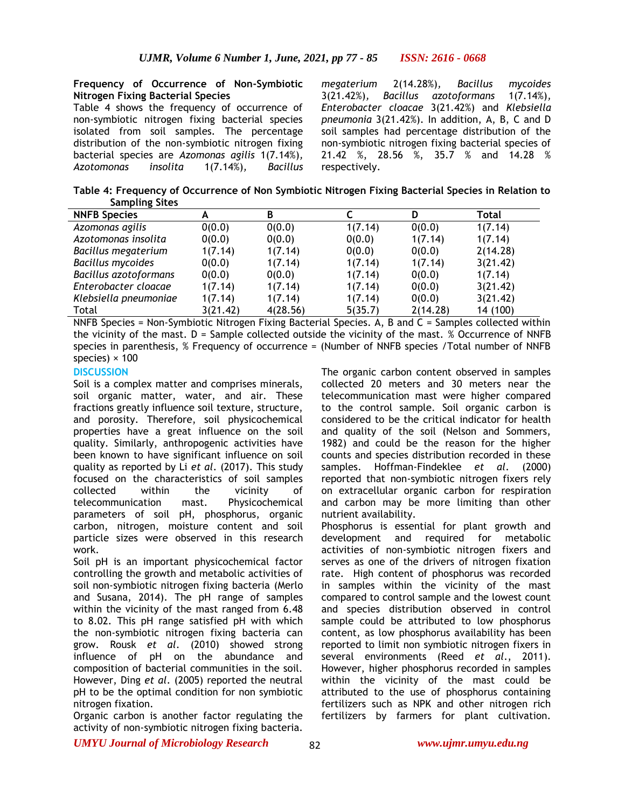#### **Frequency of Occurrence of Non-Symbiotic Nitrogen Fixing Bacterial Species**

Table 4 shows the frequency of occurrence of non-symbiotic nitrogen fixing bacterial species isolated from soil samples. The percentage distribution of the non-symbiotic nitrogen fixing bacterial species are *Azomonas agilis* 1(7.14%)*, Azotomonas insolita* 1(7.14%)*, Bacillus*  *megaterium* 2(14.28%)*, Bacillus mycoides*  3(21.42%)*, Bacillus azotoformans* 1(7.14%)*, Enterobacter cloacae* 3(21.42%) and *Klebsiella pneumonia* 3(21.42%). In addition, A, B, C and D soil samples had percentage distribution of the non-symbiotic nitrogen fixing bacterial species of 21.42 %, 28.56 %, 35.7 % and 14.28 % respectively.

**Table 4: Frequency of Occurrence of Non Symbiotic Nitrogen Fixing Bacterial Species in Relation to Sampling Sites**

| <b>NNFB Species</b>   | A        | B        |         | D        | Total    |
|-----------------------|----------|----------|---------|----------|----------|
| Azomonas agilis       | 0(0.0)   | 0(0.0)   | 1(7.14) | 0(0.0)   | 1(7.14)  |
| Azotomonas insolita   | 0(0.0)   | 0(0.0)   | 0(0.0)  | 1(7.14)  | 1(7.14)  |
| Bacillus megaterium   | 1(7.14)  | 1(7.14)  | 0(0.0)  | 0(0.0)   | 2(14.28) |
| Bacillus mycoides     | 0(0.0)   | 1(7.14)  | 1(7.14) | 1(7.14)  | 3(21.42) |
| Bacillus azotoformans | 0(0.0)   | 0(0.0)   | 1(7.14) | 0(0.0)   | 1(7.14)  |
| Enterobacter cloacae  | 1(7.14)  | 1(7.14)  | 1(7.14) | 0(0.0)   | 3(21.42) |
| Klebsiella pneumoniae | 1(7.14)  | 1(7.14)  | 1(7.14) | 0(0.0)   | 3(21.42) |
| Total                 | 3(21.42) | 4(28.56) | 5(35.7) | 2(14.28) | 14 (100) |

NNFB Species = Non-Symbiotic Nitrogen Fixing Bacterial Species. A, B and C = Samples collected within the vicinity of the mast. D = Sample collected outside the vicinity of the mast. % Occurrence of NNFB species in parenthesis, % Frequency of occurrence = (Number of NNFB species /Total number of NNFB species)  $\times$  100

## **DISCUSSION**

Soil is a complex matter and comprises minerals, soil organic matter, water, and air. These fractions greatly influence soil texture, structure, and porosity. Therefore, soil physicochemical properties have a great influence on the soil quality. Similarly, anthropogenic activities have been known to have significant influence on soil quality as reported by Li *et al*. (2017). This study focused on the characteristics of soil samples collected within the vicinity of telecommunication mast. Physicochemical parameters of soil pH, phosphorus, organic carbon, nitrogen, moisture content and soil particle sizes were observed in this research work.

Soil pH is an important physicochemical factor controlling the growth and metabolic activities of soil non-symbiotic nitrogen fixing bacteria (Merlo and Susana, 2014). The pH range of samples within the vicinity of the mast ranged from 6.48 to 8.02. This pH range satisfied pH with which the non-symbiotic nitrogen fixing bacteria can grow. Rousk *et al*. (2010) showed strong influence of pH on the abundance and composition of bacterial communities in the soil. However, Ding *et al*. (2005) reported the neutral pH to be the optimal condition for non symbiotic nitrogen fixation.

Organic carbon is another factor regulating the activity of non-symbiotic nitrogen fixing bacteria.

The organic carbon content observed in samples collected 20 meters and 30 meters near the telecommunication mast were higher compared to the control sample. Soil organic carbon is considered to be the critical indicator for health and quality of the soil (Nelson and Sommers, 1982) and could be the reason for the higher counts and species distribution recorded in these samples. Hoffman-Findeklee *et al*. (2000) reported that non-symbiotic nitrogen fixers rely on extracellular organic carbon for respiration and carbon may be more limiting than other nutrient availability.

Phosphorus is essential for plant growth and development and required for metabolic activities of non-symbiotic nitrogen fixers and serves as one of the drivers of nitrogen fixation rate. High content of phosphorus was recorded in samples within the vicinity of the mast compared to control sample and the lowest count and species distribution observed in control sample could be attributed to low phosphorus content, as low phosphorus availability has been reported to limit non symbiotic nitrogen fixers in several environments (Reed *et al*., 2011). However, higher phosphorus recorded in samples within the vicinity of the mast could be attributed to the use of phosphorus containing fertilizers such as NPK and other nitrogen rich fertilizers by farmers for plant cultivation.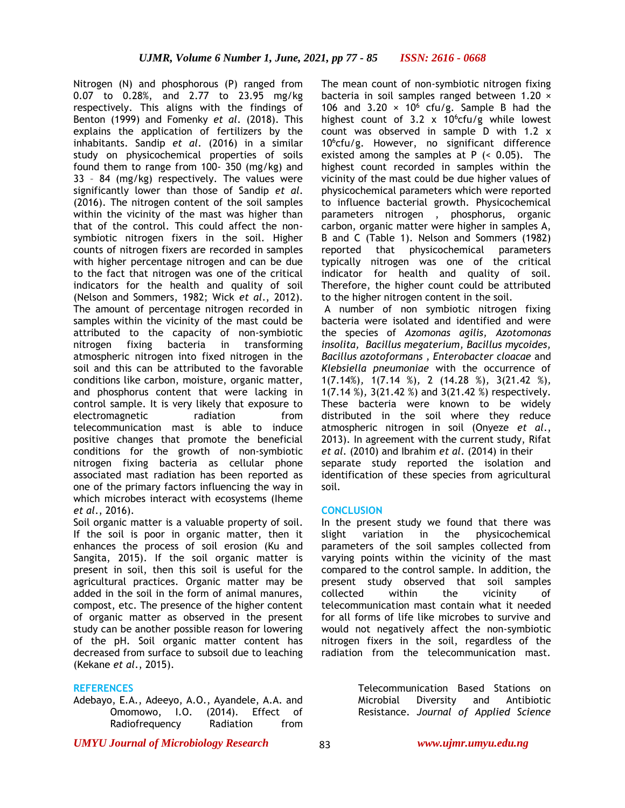Nitrogen (N) and phosphorous (P) ranged from 0.07 to 0.28%, and 2.77 to 23.95 mg/kg respectively. This aligns with the findings of Benton (1999) and Fomenky *et al*. (2018). This explains the application of fertilizers by the inhabitants. Sandip *et al*. (2016) in a similar study on physicochemical properties of soils found them to range from 100- 350 (mg/kg) and 33 – 84 (mg/kg) respectively. The values were significantly lower than those of Sandip *et al*. (2016). The nitrogen content of the soil samples within the vicinity of the mast was higher than that of the control. This could affect the nonsymbiotic nitrogen fixers in the soil. Higher counts of nitrogen fixers are recorded in samples with higher percentage nitrogen and can be due to the fact that nitrogen was one of the critical indicators for the health and quality of soil (Nelson and Sommers, 1982; Wick *et al*., 2012). The amount of percentage nitrogen recorded in samples within the vicinity of the mast could be attributed to the capacity of non-symbiotic nitrogen fixing bacteria in transforming atmospheric nitrogen into fixed nitrogen in the soil and this can be attributed to the favorable conditions like carbon, moisture, organic matter, and phosphorus content that were lacking in control sample. It is very likely that exposure to electromagnetic radiation from telecommunication mast is able to induce positive changes that promote the beneficial conditions for the growth of non-symbiotic nitrogen fixing bacteria as cellular phone associated mast radiation has been reported as one of the primary factors influencing the way in which microbes interact with ecosystems (Iheme *et al*., 2016).

Soil organic matter is a valuable property of soil. If the soil is poor in organic matter, then it enhances the process of soil erosion (Ku and Sangita, 2015). If the soil organic matter is present in soil, then this soil is useful for the agricultural practices. Organic matter may be added in the soil in the form of animal manures, compost, etc. The presence of the higher content of organic matter as observed in the present study can be another possible reason for lowering of the pH. Soil organic matter content has decreased from surface to subsoil due to leaching (Kekane *et al*., 2015).

### **REFERENCES**

Adebayo, E.A., Adeeyo, A.O., Ayandele, A.A. and Omomowo, I.O. (2014). Effect of Radiofrequency Radiation from

The mean count of non-symbiotic nitrogen fixing bacteria in soil samples ranged between 1.20 × 106 and 3.20  $\times$  10<sup>6</sup> cfu/g. Sample B had the highest count of 3.2 x  $10^6$ cfu/g while lowest count was observed in sample D with 1.2 x  $10^6$ cfu/g. However, no significant difference existed among the samples at  $P$  (< 0.05). The highest count recorded in samples within the vicinity of the mast could be due higher values of physicochemical parameters which were reported to influence bacterial growth. Physicochemical parameters nitrogen , phosphorus, organic carbon, organic matter were higher in samples A, B and C (Table 1). Nelson and Sommers (1982) reported that physicochemical parameters typically nitrogen was one of the critical indicator for health and quality of soil. Therefore, the higher count could be attributed to the higher nitrogen content in the soil.

A number of non symbiotic nitrogen fixing bacteria were isolated and identified and were the species of *Azomonas agilis, Azotomonas insolita, Bacillus megaterium, Bacillus mycoides, Bacillus azotoformans , Enterobacter cloacae* and *Klebsiella pneumoniae* with the occurrence of 1(7.14%)*,* 1(7.14 %)*,* 2 (14.28 %)*,* 3(21.42 %)*,*  1(7.14 %)*,* 3(21.42 %) and 3(21.42 %) respectively. These bacteria were known to be widely distributed in the soil where they reduce atmospheric nitrogen in soil (Onyeze *et al*., 2013). In agreement with the current study, Rifat *et al*. (2010) and Ibrahim *et al*. (2014) in their separate study reported the isolation and identification of these species from agricultural soil.

### **CONCLUSION**

In the present study we found that there was slight variation in the physicochemical parameters of the soil samples collected from varying points within the vicinity of the mast compared to the control sample. In addition, the present study observed that soil samples collected within the vicinity of telecommunication mast contain what it needed for all forms of life like microbes to survive and would not negatively affect the non-symbiotic nitrogen fixers in the soil, regardless of the radiation from the telecommunication mast.

> Telecommunication Based Stations on Microbial Diversity and Antibiotic Resistance. *Journal of Applied Science*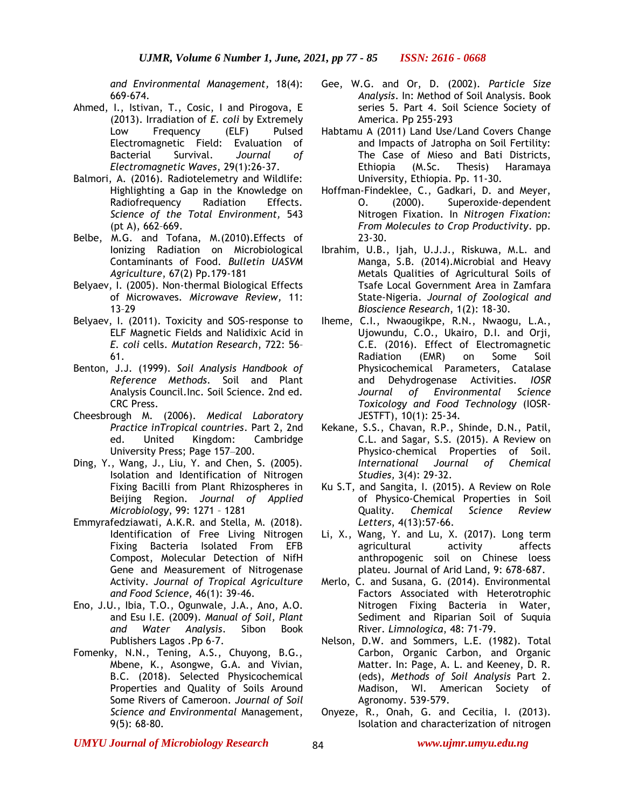*and Environmental Management,* 18(4): 669-674.

- Ahmed, I., Istivan, T., Cosic, I and Pirogova, E (2013). Irradiation of *E. coli* by Extremely Low Frequency (ELF) Pulsed Electromagnetic Field: Evaluation of Bacterial Survival. *Journal of Electromagnetic Waves*, 29(1):26-37.
- Balmori, A. (2016). Radiotelemetry and Wildlife: Highlighting a Gap in the Knowledge on Radiofrequency Radiation Effects. *Science of the Total Environment,* 543 (pt A), 662–669.
- Belbe, M.G. and Tofana, M.(2010).Effects of Ionizing Radiation on Microbiological Contaminants of Food. *Bulletin UASVM Agriculture*, 67(2) Pp.179-181
- Belyaev, I. (2005). Non-thermal Biological Effects of Microwaves. *Microwave Review,* 11: 13–29
- Belyaev, I. (2011). Toxicity and SOS-response to ELF Magnetic Fields and Nalidixic Acid in *E. coli* cells. *Mutation Research*, 722: 56– 61.
- Benton, J.J. (1999). *Soil Analysis Handbook of Reference Methods*. Soil and Plant Analysis Council.Inc. Soil Science. 2nd ed. CRC Press.
- Cheesbrough M. (2006). *Medical Laboratory Practice inTropical countries*. Part 2, 2nd ed. United Kingdom: Cambridge University Press; Page 157-200.
- Ding, Y., Wang, J., Liu, Y. and Chen, S. (2005). Isolation and Identification of Nitrogen Fixing Bacilli from Plant Rhizospheres in Beijing Region. *Journal of Applied Microbiology*, 99: 1271 – 1281
- Emmyrafedziawati, A.K.R. and Stella, M. (2018). Identification of Free Living Nitrogen Fixing Bacteria Isolated From EFB Compost, Molecular Detection of NifH Gene and Measurement of Nitrogenase Activity. *Journal of Tropical Agriculture and Food Science,* 46(1): 39-46.
- Eno, J.U., Ibia, T.O., Ogunwale, J.A., Ano, A.O. and Esu I.E. (2009). *Manual of Soil, Plant and Water Analysis*. Sibon Book Publishers Lagos .Pp 6-7.
- Fomenky, N.N., Tening, A.S., Chuyong, B.G., Mbene, K., Asongwe, G.A. and Vivian, B.C. (2018). Selected Physicochemical Properties and Quality of Soils Around Some Rivers of Cameroon. *Journal of Soil Science and Environmental* Management, 9(5): 68-80.
- Gee, W.G. and Or, D. (2002). *Particle Size Analysis*. In: Method of Soil Analysis. Book series 5. Part 4. Soil Science Society of America. Pp 255-293
- Habtamu A (2011) Land Use/Land Covers Change and Impacts of Jatropha on Soil Fertility: The Case of Mieso and Bati Districts, Ethiopia (M.Sc. Thesis) Haramaya University, Ethiopia. Pp. 11-30.
- Hoffman-Findeklee, C., Gadkari, D. and Meyer, O. (2000). Superoxide-dependent Nitrogen Fixation. In *Nitrogen Fixation: From Molecules to Crop Productivity*. pp. 23-30.
- Ibrahim, U.B., Ijah, U.J.J., Riskuwa, M.L. and Manga, S.B. (2014).Microbial and Heavy Metals Qualities of Agricultural Soils of Tsafe Local Government Area in Zamfara State-Nigeria. *Journal of Zoological and Bioscience Research*, 1(2): 18-30.
- Iheme, C.I., Nwaougikpe, R.N., Nwaogu, L.A., Ujowundu, C.O., Ukairo, D.I. and Orji, C.E. (2016). Effect of Electromagnetic Radiation (EMR) on Some Soil Physicochemical Parameters, Catalase and Dehydrogenase Activities. *IOSR Journal of Environmental Science Toxicology and Food Technology* (IOSR-JESTFT), 10(1): 25-34.
- Kekane, S.S., Chavan, R.P., Shinde, D.N., Patil, C.L. and Sagar, S.S. (2015). A Review on Physico-chemical Properties of Soil. *International Journal of Chemical Studies,* 3(4): 29-32.
- Ku S.T, and Sangita, I. (2015). A Review on Role of Physico-Chemical Properties in Soil Quality. *Chemical Science Review Letters*, 4(13):57-66.
- Li, X., Wang, Y. and Lu, X. (2017). Long term agricultural activity affects anthropogenic soil on Chinese loess plateu. Journal of Arid Land, 9: 678-687.
- Merlo, C. and Susana, G. (2014). Environmental Factors Associated with Heterotrophic Nitrogen Fixing Bacteria in Water, Sediment and Riparian Soil of Suquia River. *Limnologica*, 48: 71-79.
- Nelson, D.W. and Sommers, L.E. (1982). Total Carbon, Organic Carbon, and Organic Matter. In: Page, A. L. and Keeney, D. R. (eds), *Methods of Soil Analysis* Part 2. Madison, WI. American Society of Agronomy. 539-579.
- Onyeze, R., Onah, G. and Cecilia, I. (2013). Isolation and characterization of nitrogen